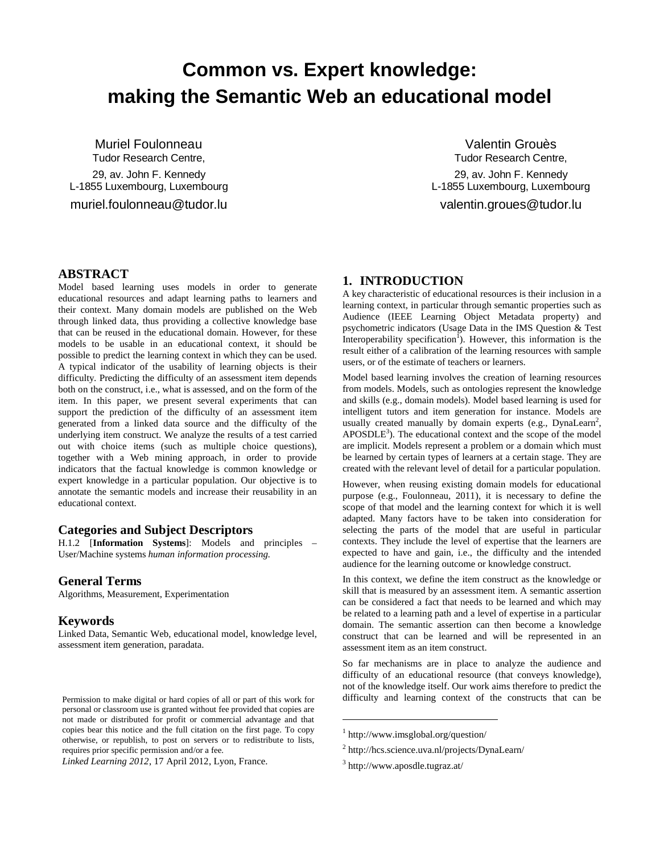# **Common vs. Expert knowledge: making the Semantic Web an educational model**

Muriel Foulonneau Tudor Research Centre, 29, av. John F. Kennedy L-1855 Luxembourg, Luxembourg muriel.foulonneau@tudor.lu

Valentin Grouès Tudor Research Centre, 29, av. John F. Kennedy L-1855 Luxembourg, Luxembourg valentin.groues@tudor.lu

## **ABSTRACT**

Model based learning uses models in order to generate educational resources and adapt learning paths to learners and their context. Many domain models are published on the Web through linked data, thus providing a collective knowledge base that can be reused in the educational domain. However, for these models to be usable in an educational context, it should be possible to predict the learning context in which they can be used. A typical indicator of the usability of learning objects is their difficulty. Predicting the difficulty of an assessment item depends both on the construct, i.e., what is assessed, and on the form of the item. In this paper, we present several experiments that can support the prediction of the difficulty of an assessment item generated from a linked data source and the difficulty of the underlying item construct. We analyze the results of a test carried out with choice items (such as multiple choice questions), together with a Web mining approach, in order to provide indicators that the factual knowledge is common knowledge or expert knowledge in a particular population. Our objective is to annotate the semantic models and increase their reusability in an educational context.

#### **Categories and Subject Descriptors**

H.1.2 [**Information Systems**]: Models and principles – User/Machine systems *human information processing.* 

#### **General Terms**

Algorithms, Measurement, Experimentation

#### **Keywords**

Linked Data, Semantic Web, educational model, knowledge level, assessment item generation, paradata.

*Linked Learning 2012*, 17 April 2012, Lyon, France.

## **1. INTRODUCTION**

A key characteristic of educational resources is their inclusion in a learning context, in particular through semantic properties such as Audience (IEEE Learning Object Metadata property) and psychometric indicators (Usage Data in the IMS Question & Test Interoperability specification<sup>1</sup>). However, this information is the result either of a calibration of the learning resources with sample users, or of the estimate of teachers or learners.

Model based learning involves the creation of learning resources from models. Models, such as ontologies represent the knowledge and skills (e.g., domain models). Model based learning is used for intelligent tutors and item generation for instance. Models are usually created manually by domain experts (e.g.,  $Dynal.$  $APOSDLE<sup>3</sup>$ ). The educational context and the scope of the model are implicit. Models represent a problem or a domain which must be learned by certain types of learners at a certain stage. They are created with the relevant level of detail for a particular population.

However, when reusing existing domain models for educational purpose (e.g., Foulonneau, 2011), it is necessary to define the scope of that model and the learning context for which it is well adapted. Many factors have to be taken into consideration for selecting the parts of the model that are useful in particular contexts. They include the level of expertise that the learners are expected to have and gain, i.e., the difficulty and the intended audience for the learning outcome or knowledge construct.

In this context, we define the item construct as the knowledge or skill that is measured by an assessment item. A semantic assertion can be considered a fact that needs to be learned and which may be related to a learning path and a level of expertise in a particular domain. The semantic assertion can then become a knowledge construct that can be learned and will be represented in an assessment item as an item construct.

So far mechanisms are in place to analyze the audience and difficulty of an educational resource (that conveys knowledge), not of the knowledge itself. Our work aims therefore to predict the difficulty and learning context of the constructs that can be

1

Permission to make digital or hard copies of all or part of this work for personal or classroom use is granted without fee provided that copies are not made or distributed for profit or commercial advantage and that copies bear this notice and the full citation on the first page. To copy otherwise, or republish, to post on servers or to redistribute to lists, requires prior specific permission and/or a fee.

<sup>1</sup> http://www.imsglobal.org/question/

<sup>2</sup> http://hcs.science.uva.nl/projects/DynaLearn/

<sup>3</sup> http://www.aposdle.tugraz.at/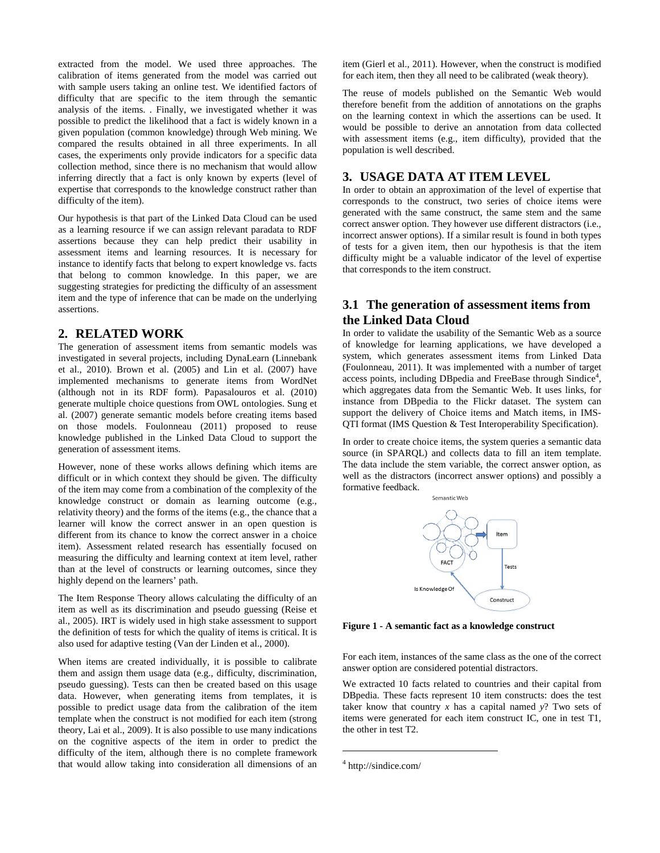extracted from the model. We used three approaches. The calibration of items generated from the model was carried out with sample users taking an online test. We identified factors of difficulty that are specific to the item through the semantic analysis of the items. . Finally, we investigated whether it was possible to predict the likelihood that a fact is widely known in a given population (common knowledge) through Web mining. We compared the results obtained in all three experiments. In all cases, the experiments only provide indicators for a specific data collection method, since there is no mechanism that would allow inferring directly that a fact is only known by experts (level of expertise that corresponds to the knowledge construct rather than difficulty of the item).

Our hypothesis is that part of the Linked Data Cloud can be used as a learning resource if we can assign relevant paradata to RDF assertions because they can help predict their usability in assessment items and learning resources. It is necessary for instance to identify facts that belong to expert knowledge vs. facts that belong to common knowledge. In this paper, we are suggesting strategies for predicting the difficulty of an assessment item and the type of inference that can be made on the underlying assertions.

#### **2. RELATED WORK**

The generation of assessment items from semantic models was investigated in several projects, including DynaLearn (Linnebank et al., 2010). Brown et al. (2005) and Lin et al. (2007) have implemented mechanisms to generate items from WordNet (although not in its RDF form). Papasalouros et al. (2010) generate multiple choice questions from OWL ontologies. Sung et al. (2007) generate semantic models before creating items based on those models. Foulonneau (2011) proposed to reuse knowledge published in the Linked Data Cloud to support the generation of assessment items.

However, none of these works allows defining which items are difficult or in which context they should be given. The difficulty of the item may come from a combination of the complexity of the knowledge construct or domain as learning outcome (e.g., relativity theory) and the forms of the items (e.g., the chance that a learner will know the correct answer in an open question is different from its chance to know the correct answer in a choice item). Assessment related research has essentially focused on measuring the difficulty and learning context at item level, rather than at the level of constructs or learning outcomes, since they highly depend on the learners' path.

The Item Response Theory allows calculating the difficulty of an item as well as its discrimination and pseudo guessing (Reise et al., 2005). IRT is widely used in high stake assessment to support the definition of tests for which the quality of items is critical. It is also used for adaptive testing (Van der Linden et al., 2000).

When items are created individually, it is possible to calibrate them and assign them usage data (e.g., difficulty, discrimination, pseudo guessing). Tests can then be created based on this usage data. However, when generating items from templates, it is possible to predict usage data from the calibration of the item template when the construct is not modified for each item (strong theory, Lai et al., 2009). It is also possible to use many indications on the cognitive aspects of the item in order to predict the difficulty of the item, although there is no complete framework that would allow taking into consideration all dimensions of an

item (Gierl et al., 2011). However, when the construct is modified for each item, then they all need to be calibrated (weak theory).

The reuse of models published on the Semantic Web would therefore benefit from the addition of annotations on the graphs on the learning context in which the assertions can be used. It would be possible to derive an annotation from data collected with assessment items (e.g., item difficulty), provided that the population is well described.

## **3. USAGE DATA AT ITEM LEVEL**

In order to obtain an approximation of the level of expertise that corresponds to the construct, two series of choice items were generated with the same construct, the same stem and the same correct answer option. They however use different distractors (i.e., incorrect answer options). If a similar result is found in both types of tests for a given item, then our hypothesis is that the item difficulty might be a valuable indicator of the level of expertise that corresponds to the item construct.

# **3.1 The generation of assessment items from the Linked Data Cloud**

In order to validate the usability of the Semantic Web as a source of knowledge for learning applications, we have developed a system, which generates assessment items from Linked Data (Foulonneau, 2011). It was implemented with a number of target access points, including DBpedia and FreeBase through Sindice<sup>4</sup>, which aggregates data from the Semantic Web. It uses links, for instance from DBpedia to the Flickr dataset. The system can support the delivery of Choice items and Match items, in IMS-QTI format (IMS Question & Test Interoperability Specification).

In order to create choice items, the system queries a semantic data source (in SPARQL) and collects data to fill an item template. The data include the stem variable, the correct answer option, as well as the distractors (incorrect answer options) and possibly a formative feedback.



**Figure 1 - A semantic fact as a knowledge construct**

For each item, instances of the same class as the one of the correct answer option are considered potential distractors.

We extracted 10 facts related to countries and their capital from DBpedia. These facts represent 10 item constructs: does the test taker know that country  $x$  has a capital named  $y$ ? Two sets of items were generated for each item construct IC, one in test T1, the other in test T2.

 $\overline{a}$ 

<sup>4</sup> http://sindice.com/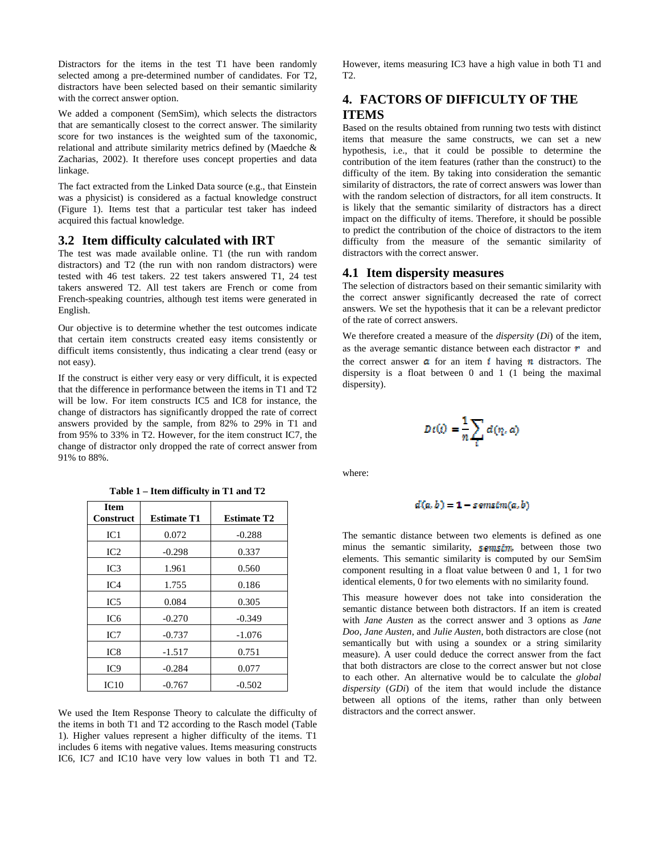Distractors for the items in the test T1 have been randomly selected among a pre-determined number of candidates. For T2, distractors have been selected based on their semantic similarity with the correct answer option.

We added a component (SemSim), which selects the distractors that are semantically closest to the correct answer. The similarity score for two instances is the weighted sum of the taxonomic, relational and attribute similarity metrics defined by (Maedche & Zacharias, 2002). It therefore uses concept properties and data linkage.

The fact extracted from the Linked Data source (e.g., that Einstein was a physicist) is considered as a factual knowledge construct (Figure 1). Items test that a particular test taker has indeed acquired this factual knowledge.

#### **3.2 Item difficulty calculated with IRT**

The test was made available online. T1 (the run with random distractors) and T2 (the run with non random distractors) were tested with 46 test takers. 22 test takers answered T1, 24 test takers answered T2. All test takers are French or come from French-speaking countries, although test items were generated in English.

Our objective is to determine whether the test outcomes indicate that certain item constructs created easy items consistently or difficult items consistently, thus indicating a clear trend (easy or not easy).

If the construct is either very easy or very difficult, it is expected that the difference in performance between the items in T1 and T2 will be low. For item constructs IC5 and IC8 for instance, the change of distractors has significantly dropped the rate of correct answers provided by the sample, from 82% to 29% in T1 and from 95% to 33% in T2. However, for the item construct IC7, the change of distractor only dropped the rate of correct answer from 91% to 88%.

| <b>Item</b><br>Construct | <b>Estimate T1</b> | <b>Estimate T2</b> |
|--------------------------|--------------------|--------------------|
| IC1                      | 0.072              | $-0.288$           |
| IC <sub>2</sub>          | $-0.298$           | 0.337              |
| IC3                      | 1.961              | 0.560              |
| IC4                      | 1.755              | 0.186              |
| IC <sub>5</sub>          | 0.084              | 0.305              |
| IC6                      | $-0.270$           | $-0.349$           |
| IC7                      | $-0.737$           | $-1.076$           |
| IC8                      | $-1.517$           | 0.751              |
| IC <sub>9</sub>          | $-0.284$           | 0.077              |
| IC10                     | $-0.767$           | $-0.502$           |

**Table 1 – Item difficulty in T1 and T2** 

We used the Item Response Theory to calculate the difficulty of the items in both T1 and T2 according to the Rasch model (Table 1). Higher values represent a higher difficulty of the items. T1 includes 6 items with negative values. Items measuring constructs IC6, IC7 and IC10 have very low values in both T1 and T2.

However, items measuring IC3 have a high value in both T1 and  $T2$ 

# **4. FACTORS OF DIFFICULTY OF THE ITEMS**

Based on the results obtained from running two tests with distinct items that measure the same constructs, we can set a new hypothesis, i.e., that it could be possible to determine the contribution of the item features (rather than the construct) to the difficulty of the item. By taking into consideration the semantic similarity of distractors, the rate of correct answers was lower than with the random selection of distractors, for all item constructs. It is likely that the semantic similarity of distractors has a direct impact on the difficulty of items. Therefore, it should be possible to predict the contribution of the choice of distractors to the item difficulty from the measure of the semantic similarity of distractors with the correct answer.

#### **4.1 Item dispersity measures**

The selection of distractors based on their semantic similarity with the correct answer significantly decreased the rate of correct answers. We set the hypothesis that it can be a relevant predictor of the rate of correct answers.

We therefore created a measure of the *dispersity* (*Di*) of the item, as the average semantic distance between each distractor  $\mathbf{r}$  and the correct answer  $\boldsymbol{a}$  for an item i having  $\boldsymbol{n}$  distractors. The dispersity is a float between 0 and 1 (1 being the maximal dispersity).

$$
Di(i) = \frac{1}{n} \sum_i d(n_i, a)
$$

where:

$$
d(a,b) = 1 - semsim(a,b)
$$

The semantic distance between two elements is defined as one minus the semantic similarity, **semsim**, between those two elements. This semantic similarity is computed by our SemSim component resulting in a float value between 0 and 1, 1 for two identical elements, 0 for two elements with no similarity found.

This measure however does not take into consideration the semantic distance between both distractors. If an item is created with *Jane Austen* as the correct answer and 3 options as *Jane Doo*, *Jane Austen*, and *Julie Austen*, both distractors are close (not semantically but with using a soundex or a string similarity measure). A user could deduce the correct answer from the fact that both distractors are close to the correct answer but not close to each other. An alternative would be to calculate the *global dispersity* (*GDi*) of the item that would include the distance between all options of the items, rather than only between distractors and the correct answer.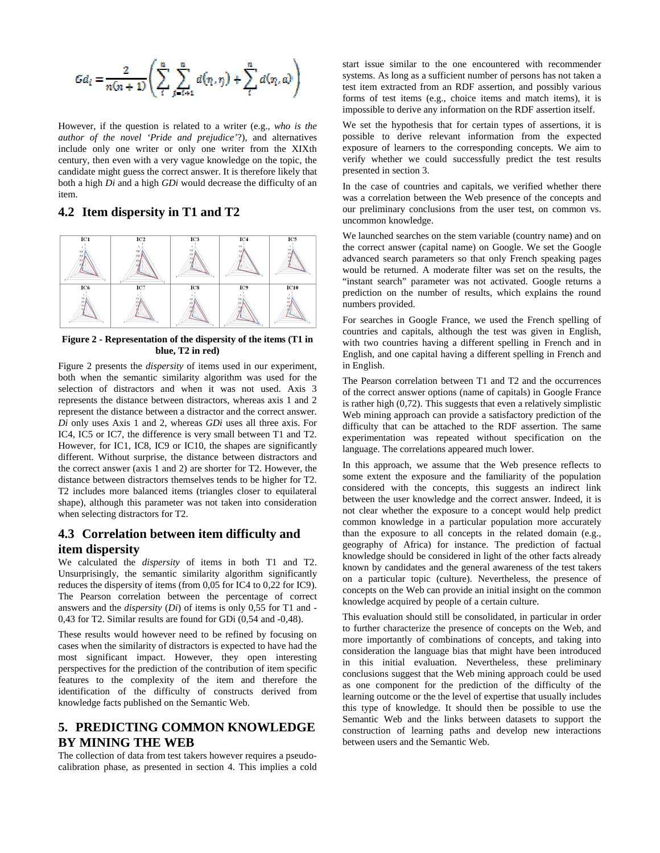$$
Gd_i = \frac{2}{n(n+1)} \left( \sum_{i=1}^n \sum_{j=i+1}^n d(\eta, \eta) + \sum_{i=1}^n d(\eta, a) \right)
$$

However, if the question is related to a writer (e.g., *who is the author of the novel 'Pride and prejudice'*?), and alternatives include only one writer or only one writer from the XIXth century, then even with a very vague knowledge on the topic, the candidate might guess the correct answer. It is therefore likely that both a high *Di* and a high *GDi* would decrease the difficulty of an item.

## **4.2 Item dispersity in T1 and T2**



**Figure 2 - Representation of the dispersity of the items (T1 in blue, T2 in red)**

Figure 2 presents the *dispersity* of items used in our experiment, both when the semantic similarity algorithm was used for the selection of distractors and when it was not used. Axis 3 represents the distance between distractors, whereas axis 1 and 2 represent the distance between a distractor and the correct answer. *Di* only uses Axis 1 and 2, whereas *GDi* uses all three axis. For IC4, IC5 or IC7, the difference is very small between T1 and T2. However, for IC1, IC8, IC9 or IC10, the shapes are significantly different. Without surprise, the distance between distractors and the correct answer (axis 1 and 2) are shorter for T2. However, the distance between distractors themselves tends to be higher for T2. T2 includes more balanced items (triangles closer to equilateral shape), although this parameter was not taken into consideration when selecting distractors for T2.

## **4.3 Correlation between item difficulty and item dispersity**

We calculated the *dispersity* of items in both T1 and T2. Unsurprisingly, the semantic similarity algorithm significantly reduces the dispersity of items (from 0,05 for IC4 to 0,22 for IC9). The Pearson correlation between the percentage of correct answers and the *dispersity* (*Di*) of items is only 0,55 for T1 and - 0,43 for T2. Similar results are found for GDi (0,54 and -0,48).

These results would however need to be refined by focusing on cases when the similarity of distractors is expected to have had the most significant impact. However, they open interesting perspectives for the prediction of the contribution of item specific features to the complexity of the item and therefore the identification of the difficulty of constructs derived from knowledge facts published on the Semantic Web.

# **5. PREDICTING COMMON KNOWLEDGE BY MINING THE WEB**

The collection of data from test takers however requires a pseudocalibration phase, as presented in section 4. This implies a cold start issue similar to the one encountered with recommender systems. As long as a sufficient number of persons has not taken a test item extracted from an RDF assertion, and possibly various forms of test items (e.g., choice items and match items), it is impossible to derive any information on the RDF assertion itself.

We set the hypothesis that for certain types of assertions, it is possible to derive relevant information from the expected exposure of learners to the corresponding concepts. We aim to verify whether we could successfully predict the test results presented in section 3.

In the case of countries and capitals, we verified whether there was a correlation between the Web presence of the concepts and our preliminary conclusions from the user test, on common vs. uncommon knowledge.

We launched searches on the stem variable (country name) and on the correct answer (capital name) on Google. We set the Google advanced search parameters so that only French speaking pages would be returned. A moderate filter was set on the results, the "instant search" parameter was not activated. Google returns a prediction on the number of results, which explains the round numbers provided.

For searches in Google France, we used the French spelling of countries and capitals, although the test was given in English, with two countries having a different spelling in French and in English, and one capital having a different spelling in French and in English.

The Pearson correlation between T1 and T2 and the occurrences of the correct answer options (name of capitals) in Google France is rather high (0,72). This suggests that even a relatively simplistic Web mining approach can provide a satisfactory prediction of the difficulty that can be attached to the RDF assertion. The same experimentation was repeated without specification on the language. The correlations appeared much lower.

In this approach, we assume that the Web presence reflects to some extent the exposure and the familiarity of the population considered with the concepts, this suggests an indirect link between the user knowledge and the correct answer. Indeed, it is not clear whether the exposure to a concept would help predict common knowledge in a particular population more accurately than the exposure to all concepts in the related domain (e.g., geography of Africa) for instance. The prediction of factual knowledge should be considered in light of the other facts already known by candidates and the general awareness of the test takers on a particular topic (culture). Nevertheless, the presence of concepts on the Web can provide an initial insight on the common knowledge acquired by people of a certain culture.

This evaluation should still be consolidated, in particular in order to further characterize the presence of concepts on the Web, and more importantly of combinations of concepts, and taking into consideration the language bias that might have been introduced in this initial evaluation. Nevertheless, these preliminary conclusions suggest that the Web mining approach could be used as one component for the prediction of the difficulty of the learning outcome or the the level of expertise that usually includes this type of knowledge. It should then be possible to use the Semantic Web and the links between datasets to support the construction of learning paths and develop new interactions between users and the Semantic Web.